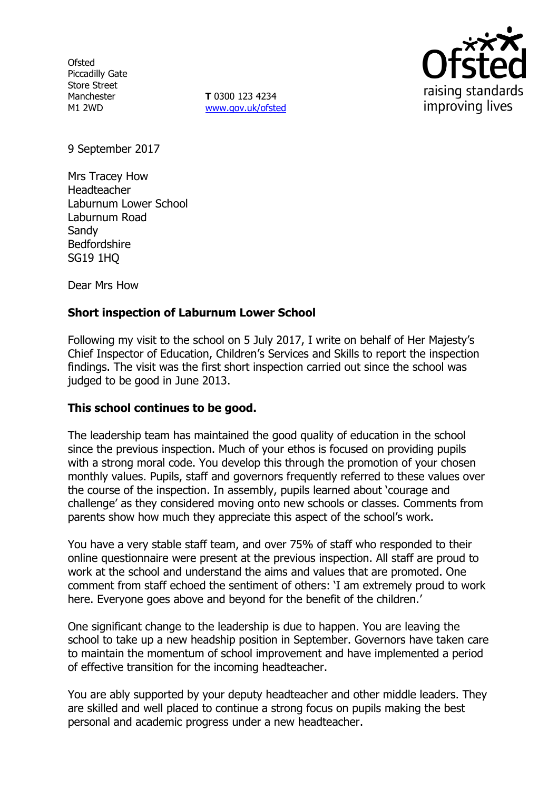**Ofsted** Piccadilly Gate Store Street Manchester M1 2WD

**T** 0300 123 4234 www.gov.uk/ofsted



9 September 2017

Mrs Tracey How Headteacher Laburnum Lower School Laburnum Road **Sandy** Bedfordshire SG19 1HQ

Dear Mrs How

# **Short inspection of Laburnum Lower School**

Following my visit to the school on 5 July 2017, I write on behalf of Her Majesty's Chief Inspector of Education, Children's Services and Skills to report the inspection findings. The visit was the first short inspection carried out since the school was judged to be good in June 2013.

## **This school continues to be good.**

The leadership team has maintained the good quality of education in the school since the previous inspection. Much of your ethos is focused on providing pupils with a strong moral code. You develop this through the promotion of your chosen monthly values. Pupils, staff and governors frequently referred to these values over the course of the inspection. In assembly, pupils learned about 'courage and challenge' as they considered moving onto new schools or classes. Comments from parents show how much they appreciate this aspect of the school's work.

You have a very stable staff team, and over 75% of staff who responded to their online questionnaire were present at the previous inspection. All staff are proud to work at the school and understand the aims and values that are promoted. One comment from staff echoed the sentiment of others: 'I am extremely proud to work here. Everyone goes above and beyond for the benefit of the children.'

One significant change to the leadership is due to happen. You are leaving the school to take up a new headship position in September. Governors have taken care to maintain the momentum of school improvement and have implemented a period of effective transition for the incoming headteacher.

You are ably supported by your deputy headteacher and other middle leaders. They are skilled and well placed to continue a strong focus on pupils making the best personal and academic progress under a new headteacher.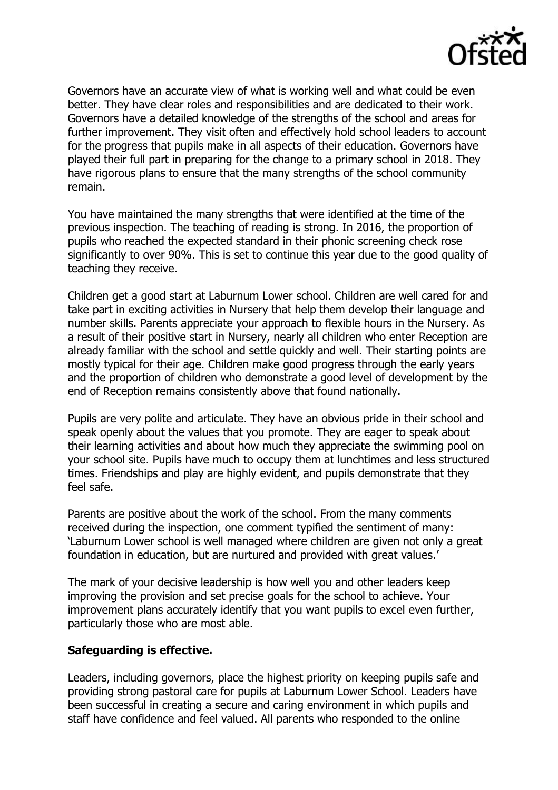

Governors have an accurate view of what is working well and what could be even better. They have clear roles and responsibilities and are dedicated to their work. Governors have a detailed knowledge of the strengths of the school and areas for further improvement. They visit often and effectively hold school leaders to account for the progress that pupils make in all aspects of their education. Governors have played their full part in preparing for the change to a primary school in 2018. They have rigorous plans to ensure that the many strengths of the school community remain.

You have maintained the many strengths that were identified at the time of the previous inspection. The teaching of reading is strong. In 2016, the proportion of pupils who reached the expected standard in their phonic screening check rose significantly to over 90%. This is set to continue this year due to the good quality of teaching they receive.

Children get a good start at Laburnum Lower school. Children are well cared for and take part in exciting activities in Nursery that help them develop their language and number skills. Parents appreciate your approach to flexible hours in the Nursery. As a result of their positive start in Nursery, nearly all children who enter Reception are already familiar with the school and settle quickly and well. Their starting points are mostly typical for their age. Children make good progress through the early years and the proportion of children who demonstrate a good level of development by the end of Reception remains consistently above that found nationally.

Pupils are very polite and articulate. They have an obvious pride in their school and speak openly about the values that you promote. They are eager to speak about their learning activities and about how much they appreciate the swimming pool on your school site. Pupils have much to occupy them at lunchtimes and less structured times. Friendships and play are highly evident, and pupils demonstrate that they feel safe.

Parents are positive about the work of the school. From the many comments received during the inspection, one comment typified the sentiment of many: 'Laburnum Lower school is well managed where children are given not only a great foundation in education, but are nurtured and provided with great values.'

The mark of your decisive leadership is how well you and other leaders keep improving the provision and set precise goals for the school to achieve. Your improvement plans accurately identify that you want pupils to excel even further, particularly those who are most able.

## **Safeguarding is effective.**

Leaders, including governors, place the highest priority on keeping pupils safe and providing strong pastoral care for pupils at Laburnum Lower School. Leaders have been successful in creating a secure and caring environment in which pupils and staff have confidence and feel valued. All parents who responded to the online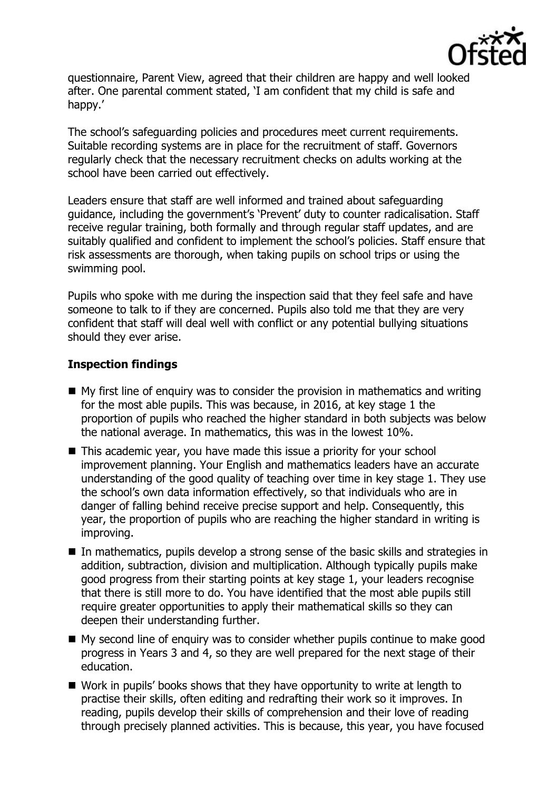

questionnaire, Parent View, agreed that their children are happy and well looked after. One parental comment stated, 'I am confident that my child is safe and happy.'

The school's safeguarding policies and procedures meet current requirements. Suitable recording systems are in place for the recruitment of staff. Governors regularly check that the necessary recruitment checks on adults working at the school have been carried out effectively.

Leaders ensure that staff are well informed and trained about safeguarding guidance, including the government's 'Prevent' duty to counter radicalisation. Staff receive regular training, both formally and through regular staff updates, and are suitably qualified and confident to implement the school's policies. Staff ensure that risk assessments are thorough, when taking pupils on school trips or using the swimming pool.

Pupils who spoke with me during the inspection said that they feel safe and have someone to talk to if they are concerned. Pupils also told me that they are very confident that staff will deal well with conflict or any potential bullying situations should they ever arise.

# **Inspection findings**

- $\blacksquare$  My first line of enquiry was to consider the provision in mathematics and writing for the most able pupils. This was because, in 2016, at key stage 1 the proportion of pupils who reached the higher standard in both subjects was below the national average. In mathematics, this was in the lowest 10%.
- This academic year, you have made this issue a priority for your school improvement planning. Your English and mathematics leaders have an accurate understanding of the good quality of teaching over time in key stage 1. They use the school's own data information effectively, so that individuals who are in danger of falling behind receive precise support and help. Consequently, this year, the proportion of pupils who are reaching the higher standard in writing is improving.
- In mathematics, pupils develop a strong sense of the basic skills and strategies in addition, subtraction, division and multiplication. Although typically pupils make good progress from their starting points at key stage 1, your leaders recognise that there is still more to do. You have identified that the most able pupils still require greater opportunities to apply their mathematical skills so they can deepen their understanding further.
- My second line of enquiry was to consider whether pupils continue to make good progress in Years 3 and 4, so they are well prepared for the next stage of their education.
- Work in pupils' books shows that they have opportunity to write at length to practise their skills, often editing and redrafting their work so it improves. In reading, pupils develop their skills of comprehension and their love of reading through precisely planned activities. This is because, this year, you have focused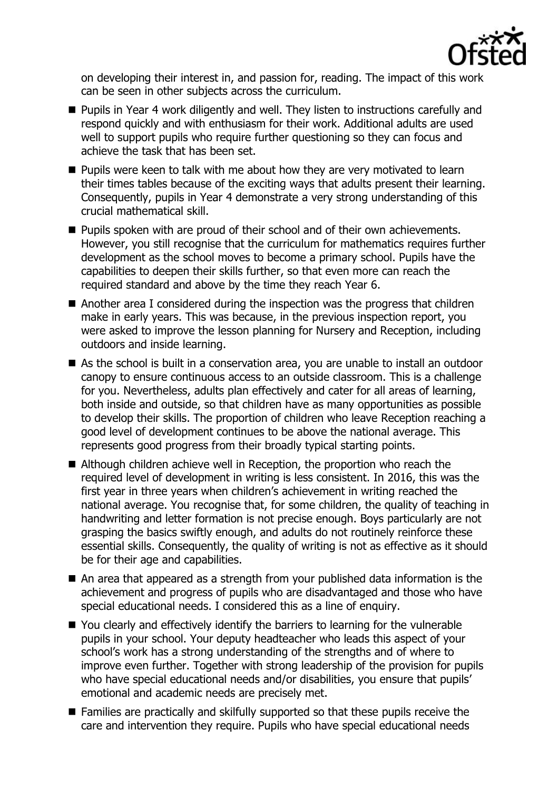

on developing their interest in, and passion for, reading. The impact of this work can be seen in other subjects across the curriculum.

- **Pupils in Year 4 work diligently and well. They listen to instructions carefully and** respond quickly and with enthusiasm for their work. Additional adults are used well to support pupils who require further questioning so they can focus and achieve the task that has been set.
- **Pupils were keen to talk with me about how they are very motivated to learn** their times tables because of the exciting ways that adults present their learning. Consequently, pupils in Year 4 demonstrate a very strong understanding of this crucial mathematical skill.
- **Pupils spoken with are proud of their school and of their own achievements.** However, you still recognise that the curriculum for mathematics requires further development as the school moves to become a primary school. Pupils have the capabilities to deepen their skills further, so that even more can reach the required standard and above by the time they reach Year 6.
- Another area I considered during the inspection was the progress that children make in early years. This was because, in the previous inspection report, you were asked to improve the lesson planning for Nursery and Reception, including outdoors and inside learning.
- As the school is built in a conservation area, you are unable to install an outdoor canopy to ensure continuous access to an outside classroom. This is a challenge for you. Nevertheless, adults plan effectively and cater for all areas of learning, both inside and outside, so that children have as many opportunities as possible to develop their skills. The proportion of children who leave Reception reaching a good level of development continues to be above the national average. This represents good progress from their broadly typical starting points.
- Although children achieve well in Reception, the proportion who reach the required level of development in writing is less consistent. In 2016, this was the first year in three years when children's achievement in writing reached the national average. You recognise that, for some children, the quality of teaching in handwriting and letter formation is not precise enough. Boys particularly are not grasping the basics swiftly enough, and adults do not routinely reinforce these essential skills. Consequently, the quality of writing is not as effective as it should be for their age and capabilities.
- An area that appeared as a strength from your published data information is the achievement and progress of pupils who are disadvantaged and those who have special educational needs. I considered this as a line of enquiry.
- You clearly and effectively identify the barriers to learning for the vulnerable pupils in your school. Your deputy headteacher who leads this aspect of your school's work has a strong understanding of the strengths and of where to improve even further. Together with strong leadership of the provision for pupils who have special educational needs and/or disabilities, you ensure that pupils' emotional and academic needs are precisely met.
- Families are practically and skilfully supported so that these pupils receive the care and intervention they require. Pupils who have special educational needs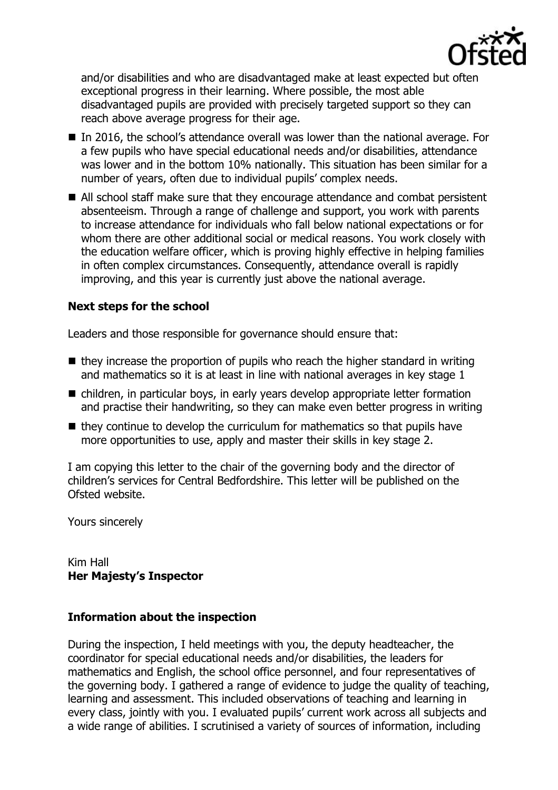

and/or disabilities and who are disadvantaged make at least expected but often exceptional progress in their learning. Where possible, the most able disadvantaged pupils are provided with precisely targeted support so they can reach above average progress for their age.

- In 2016, the school's attendance overall was lower than the national average. For a few pupils who have special educational needs and/or disabilities, attendance was lower and in the bottom 10% nationally. This situation has been similar for a number of years, often due to individual pupils' complex needs.
- All school staff make sure that they encourage attendance and combat persistent absenteeism. Through a range of challenge and support, you work with parents to increase attendance for individuals who fall below national expectations or for whom there are other additional social or medical reasons. You work closely with the education welfare officer, which is proving highly effective in helping families in often complex circumstances. Consequently, attendance overall is rapidly improving, and this year is currently just above the national average.

# **Next steps for the school**

Leaders and those responsible for governance should ensure that:

- $\blacksquare$  they increase the proportion of pupils who reach the higher standard in writing and mathematics so it is at least in line with national averages in key stage 1
- children, in particular boys, in early years develop appropriate letter formation and practise their handwriting, so they can make even better progress in writing
- $\blacksquare$  they continue to develop the curriculum for mathematics so that pupils have more opportunities to use, apply and master their skills in key stage 2.

I am copying this letter to the chair of the governing body and the director of children's services for Central Bedfordshire. This letter will be published on the Ofsted website.

Yours sincerely

Kim Hall **Her Majesty's Inspector**

## **Information about the inspection**

During the inspection, I held meetings with you, the deputy headteacher, the coordinator for special educational needs and/or disabilities, the leaders for mathematics and English, the school office personnel, and four representatives of the governing body. I gathered a range of evidence to judge the quality of teaching, learning and assessment. This included observations of teaching and learning in every class, jointly with you. I evaluated pupils' current work across all subjects and a wide range of abilities. I scrutinised a variety of sources of information, including